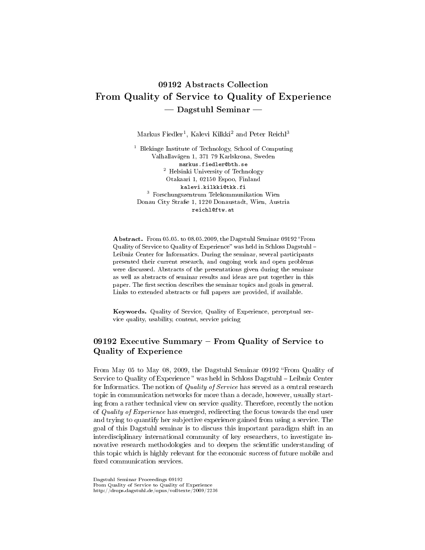# 09192 Abstracts Collection From Quality of Service to Quality of Experience Dagstuhl Seminar

 $\rm{Markus\,\,Fiedler^1,\,Kalevi\,\,Kilkki^2}$  and  $\rm{Peter\,\,Reichl^3}$ 

<sup>1</sup> Blekinge Institute of Technology, School of Computing Valhallavägen 1, 371 79 Karlskrona, Sweden markus.fiedler@bth.se <sup>2</sup> Helsinki University of Technology Otakaari 1, 02150 Espoo, Finland kalevi.kilkki@tkk.fi <sup>3</sup> Forschungszentrum Telekommunikation Wien Donau City Straÿe 1, 1220 Donaustadt, Wien, Austria reichl@ftw.at

Abstract. From 05.05. to 08.05.2009, the Dagstuhl Seminar 09192 "From Quality of Service to Quality of Experience" was held in Schloss Dagstuhl – Leibniz Center for Informatics. During the seminar, several participants presented their current research, and ongoing work and open problems were discussed. Abstracts of the presentations given during the seminar as well as abstracts of seminar results and ideas are put together in this paper. The first section describes the seminar topics and goals in general. Links to extended abstracts or full papers are provided, if available.

Keywords. Quality of Service, Quality of Experience, perceptual service quality, usability, content, service pricing

# 09192 Executive Summary From Quality of Service to Quality of Experience

From May 05 to May 08, 2009, the Dagstuhl Seminar 09192 "From Quality of Service to Quality of Experience" was held in Schloss Dagstuhl - Leibniz Center for Informatics. The notion of *Quality of Service* has served as a central research topic in communication networks for more than a decade, however, usually starting from a rather technical view on service quality. Therefore, recently the notion of Quality of Experience has emerged, redirecting the focus towards the end user and trying to quantify her subjective experience gained from using a service. The goal of this Dagstuhl seminar is to discuss this important paradigm shift in an interdisciplinary international community of key researchers, to investigate innovative research methodologies and to deepen the scientific understanding of this topic which is highly relevant for the economic success of future mobile and fixed communication services.

Dagstuhl Seminar Proceedings 09192 From Quality of Service to Quality of Experience http://drops.dagstuhl.de/opus/volltexte/2009/2236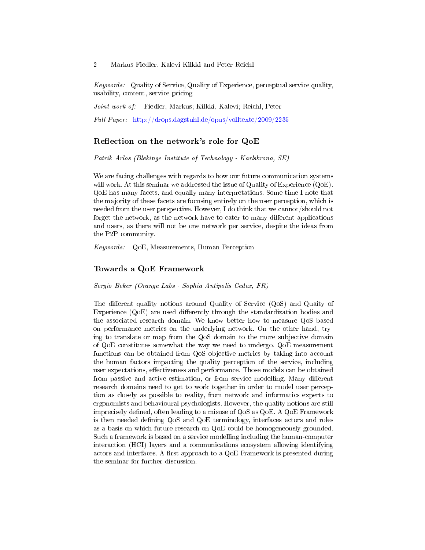Keywords: Quality of Service, Quality of Experience, perceptual service quality, usability, content, service pricing

Joint work of: Fiedler, Markus; Kilkki, Kalevi; Reichl, Peter

Full Paper: <http://drops.dagstuhl.de/opus/volltexte/2009/2235>

# Reflection on the network's role for QoE

Patrik Arlos (Blekinge Institute of Technology - Karlskrona, SE)

We are facing challenges with regards to how our future communication systems will work. At this seminar we addressed the issue of Quality of Experience (QoE). QoE has many facets, and equally many interpretations. Some time I note that the majority of these facets are focusing entirely on the user perception, which is needed from the user perspective. However, I do think that we cannot/should not forget the network, as the network have to cater to many different applications and users, as there will not be one network per service, despite the ideas from the P2P community.

Keywords: QoE, Measurements, Human Perception

#### Towards a QoE Framework

Sergio Beker (Orange Labs - Sophia Antipolis Cedex, FR)

The different quality notions around Quality of Service (QoS) and Quaity of Experience  $(QoE)$  are used differently through the standardization bodies and the associated research domain. We know better how to measure QoS based on performance metrics on the underlying network. On the other hand, trying to translate or map from the QoS domain to the more subjective domain of QoE constitutes somewhat the way we need to undergo. QoE measurement functions can be obtained from QoS objective metrics by taking into account the human factors impacting the quality perception of the service, including user expectations, effectiveness and performance. Those models can be obtained from passive and active estimation, or from service modelling. Many different research domains need to get to work together in order to model user perception as closely as possible to reality, from network and informatics experts to ergonomists and behavioural psychologists. However, the quality notions are still imprecisely defined, often leading to a misuse of QoS as QoE. A QoE Framework is then needed defining QoS and QoE terminology, interfaces actors and roles as a basis on which future research on QoE could be homogeneously grounded. Such a framework is based on a service modelling including the human-computer interaction (HCI) layers and a communications ecosystem allowing identifying actors and interfaces. A first approach to a  $QoE$  Framework is presented during the seminar for further discussion.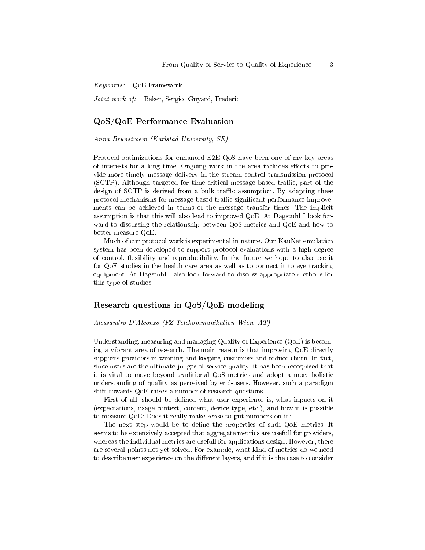Keywords: QoE Framework

Joint work of: Beker, Sergio; Guyard, Frederic

#### QoS/QoE Performance Evaluation

Anna Brunstroem (Karlstad University, SE)

Protocol optimizations for enhanced E2E QoS have been one of my key areas of interests for a long time. Ongoing work in the area includes efforts to provide more timely message delivery in the stream control transmission protocol  $(SCTP)$ . Although targeted for time-critical message based traffic, part of the design of SCTP is derived from a bulk traffic assumption. By adapting these protocol mechanisms for message based traffic significant performance improvements can be achieved in terms of the message transfer times. The implicit assumption is that this will also lead to improved QoE. At Dagstuhl I look forward to discussing the relationship between QoS metrics and QoE and how to better measure QoE.

Much of our protocol work is experimental in nature. Our KauNet emulation system has been developed to support protocol evaluations with a high degree of control, flexibility and reproducibility. In the future we hope to also use it for QoE studies in the health care area as well as to connect it to eye tracking equipment. At Dagstuhl I also look forward to discuss appropriate methods for this type of studies.

# Research questions in QoS/QoE modeling

Alessandro D'Alconzo (FZ Telekommunikation Wien, AT)

Understanding, measuring and managing Quality of Experience (QoE) is becoming a vibrant area of research. The main reason is that improving QoE directly supports providers in winning and keeping customers and reduce churn. In fact, since users are the ultimate judges of service quality, it has been recognised that it is vital to move beyond traditional QoS metrics and adopt a more holistic understanding of quality as perceived by end-users. However, such a paradigm shift towards QoE raises a number of research questions.

First of all, should be dened what user experience is, what inpacts on it (expectations, usage context, content, device type, etc.), and how it is possible to measure QoE: Does it really make sense to put numbers on it?

The next step would be to define the properties of such QoE metrics. It seems to be extensively accepted that aggregate metrics are usefull for providers, whereas the individual metrics are usefull for applications design. However, there are several points not yet solved. For example, what kind of metrics do we need to describe user experience on the different layers, and if it is the case to consider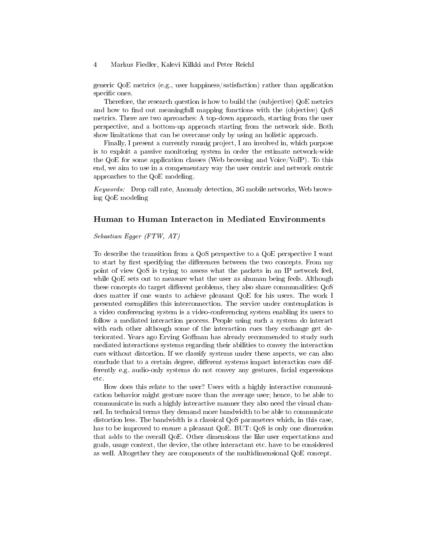generic QoE metrics (e.g., user happiness/satisfaction) rather than application specific ones.

Therefore, the research question is how to build the (subjective) QoE metrics and how to find out meaningfull mapping functions with the (objective) QoS metrics. There are two aprroaches: A top-down approach, starting from the user perspective, and a bottom-up approach starting from the network side. Both show limitations that can be overcame only by using an holistic approach.

Finally, I present a currently runnig project, I am involved in, which purpose is to exploit a passive monitoring system in order the estimate network-wide the QoE for some application classes (Web browsing and Voice/VoIP). To this end, we aim to use in a compementary way the user centric and network centric approaches to the QoE modeling.

Keywords: Drop call rate, Anomaly detection, 3G mobile networks, Web browsing QoE modeling

#### Human to Human Interacton in Mediated Environments

Sebastian Egger (FTW, AT)

To describe the transition from a QoS perspective to a QoE perspective I want to start by first specifying the differences between the two concepts. From my point of view QoS is trying to assess what the packets in an IP network feel, while QoE sets out to measure what the user as ahuman being feels. Although these concepts do target different problems, they also share communalities: QoS does matter if one wants to achieve pleasant QoE for his users. The work I presented exemplies this interconnection. The service under contemplation is a video conferencing system is a video-conferencing system enabling its users to follow a mediated interaction process. People using such a system do interact with each other although some of the interaction cues they exchange get deteriorated. Years ago Erving Goffman has already recommended to study such mediated interactions systems regarding their abilities to convey the interaction cues without distortion. If we classify systems under these aspects, we can also conclude that to a certain degree, different systems impact interaction cues differently e.g. audio-only systems do not convey any gestures, facial expressions etc.

How does this relate to the user? Users with a highly interactive communication behavior might gesture more than the average user; hence, to be able to communicate in such a highly interactive manner they also need the visual channel. In technical terms they demand more bandwidth to be able to communicate distortion less. The bandwidth is a classical QoS parameters which, in this case, has to be improved to ensure a pleasant QoE. BUT: QoS is only one dimension that adds to the overall QoE. Other dimensions the like user expectations and goals, usage context, the device, the other interactant etc. have to be considered as well. Altogether they are components of the multidimensional QoE concept.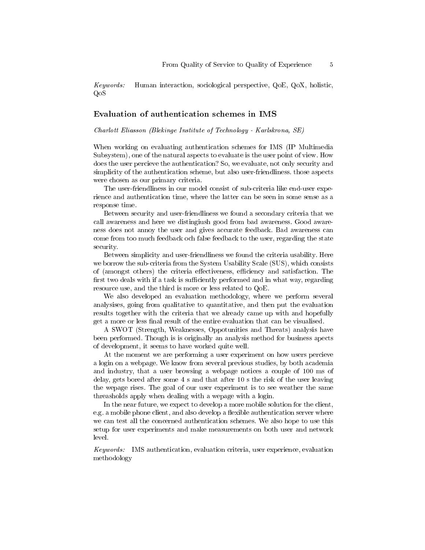Keywords: Human interaction, sociological perspective, QoE, QoX, holistic, QoS

# Evaluation of authentication schemes in IMS

Charlott Eliasson (Blekinge Institute of Technology - Karlskrona, SE)

When working on evaluating authentication schemes for IMS (IP Multimedia Subsystem), one of the natural aspects to evaluate is the user point of view. How does the user percieve the authentication? So, we evaluate, not only security and simplicity of the authentication scheme, but also user-friendliness. those aspects were chosen as our primary criteria.

The user-friendliness in our model consist of sub-criteria like end-user experience and authentication time, where the latter can be seen in some sense as a response time.

Between security and user-friendliness we found a secondary criteria that we call awareness and here we distingiush good from bad awareness. Good awareness does not annoy the user and gives accurate feedback. Bad awareness can come from too much feedback och false feedback to the user, regarding the state security.

Between simplicity and user-friendliness we found the criteria usability. Here we borrow the sub-criteria from the System Usability Scale (SUS), which consists of (amongst others) the criteria effectiveness, efficiency and satisfaction. The first two deals with if a task is sufficiently performed and in what way, regarding resource use, and the third is more or less related to QoE.

We also developed an evaluation methodology, where we perform several analysises, going from qualitative to quantitative, and then put the evaluation results together with the criteria that we already came up with and hopefully get a more or less final result of the entire evaluation that can be visualised.

A SWOT (Strength, Weaknesses, Oppotunities and Threats) analysis have been performed. Though is is originally an analysis method for business apects of development, it seems to have worked quite well.

At the moment we are performing a user experiment on how users percieve a login on a webpage. We know from several previous studies, by both academia and industry, that a user browsing a webpage notices a couple of 100 ms of delay, gets bored after some 4 s and that after 10 s the risk of the user leaving the wepage rises. The goal of our user experiment is to see weather the same threasholds apply when dealing with a wepage with a login.

In the near future, we expect to develop a more mobile solution for the client, e.g. a mobile phone client, and also develop a flexible authentication server where we can test all the concerned authentication schemes. We also hope to use this setup for user experiments and make measurements on both user and network level.

Keywords: IMS authentication, evaluation criteria, user experience, evaluation methodology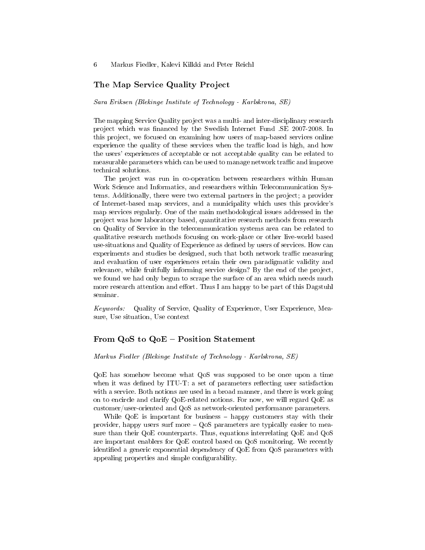## The Map Service Quality Project

Sara Eriksen (Blekinge Institute of Technology - Karlskrona, SE)

The mapping Service Quality project was a multi- and inter-disciplinary research project which was financed by the Swedish Internet Fund .SE 2007-2008. In this project, we focused on examining how users of map-based services online experience the quality of these services when the traffic load is high, and how the users' experiences of acceptable or not acceptable quality can be related to measurable parameters which can be used to manage network traffic and improve technical solutions.

The project was run in co-operation between researchers within Human Work Science and Informatics, and researchers within Telecommunication Systems. Additionally, there were two external partners in the project; a provider of Internet-based map services, and a municipality which uses this provider's map services regularly. One of the main methodological issues addressed in the project was how laboratory based, quantitative research methods from research on Quality of Service in the telecommunication systems area can be related to qualitative research methods focusing on work-place or other live-world based use-situations and Quality of Experience as dened by users of services. How can experiments and studies be designed, such that both network traffic measuring and evaluation of user experiences retain their own paradigmatic validity and relevance, while fruitfully informing service design? By the end of the project, we found we had only begun to scrape the surface of an area which needs much more research attention and effort. Thus I am happy to be part of this Dagstuhl seminar.

Keywords: Quality of Service, Quality of Experience, User Experience, Measure, Use situation, Use context

#### From QoS to QoE – Position Statement

#### Markus Fiedler (Blekinge Institute of Technology - Karlskrona, SE)

QoE has somehow become what QoS was supposed to be once upon a time when it was defined by ITU-T: a set of parameters reflecting user satisfaction with a service. Both notions are used in a broad manner, and there is work going on to encircle and clarify QoE-related notions. For now, we will regard QoE as customer/user-oriented and QoS as network-oriented performance parameters.

While  $QoE$  is important for business  $-$  happy customers stay with their provider, happy users surf more  $-\ Q$ oS parameters are typically easier to measure than their QoE counterparts. Thus, equations interrelating QoE and QoS are important enablers for QoE control based on QoS monitoring. We recently identified a generic exponential dependency of QoE from QoS parameters with appealing properties and simple configurability.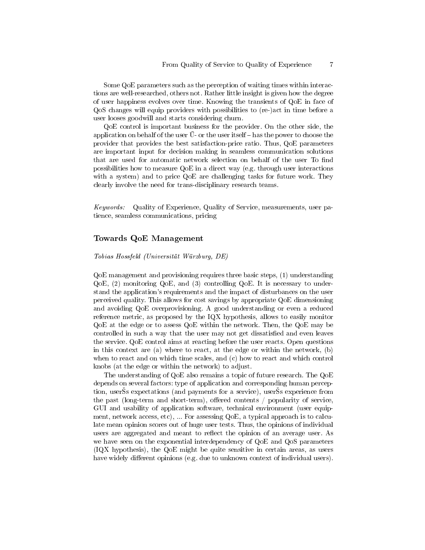Some QoE parameters such as the perception of waiting times within interactions are well-researched, others not. Rather little insight is given how the degree of user happiness evolves over time. Knowing the transients of QoE in face of QoS changes will equip providers with possibilities to (re-)act in time before a user looses goodwill and starts considering churn.

QoE control is important business for the provider. On the other side, the application on behalf of the user  $\tilde{U}$ - or the user itself  $-$  has the power to choose the provider that provides the best satisfaction-price ratio. Thus, QoE parameters are important input for decision making in seamless communication solutions that are used for automatic network selection on behalf of the user To find possibilities how to measure QoE in a direct way (e.g. through user interactions with a system) and to price QoE are challenging tasks for future work. They clearly involve the need for trans-disciplinary research teams.

Keywords: Quality of Experience, Quality of Service, measurements, user patience, seamless communications, pricing

#### Towards QoE Management

#### Tobias Hossfeld (Universität Würzburg, DE)

QoE management and provisioning requires three basic steps, (1) understanding  $QoE$ , (2) monitoring  $QoE$ , and (3) controlling  $QoE$ . It is necessary to understand the application's requirements and the impact of disturbances on the user perceived quality. This allows for cost savings by appropriate QoE dimensioning and avoiding QoE overprovisioning. A good understanding or even a reduced reference metric, as proposed by the IQX hypothesis, allows to easily monitor QoE at the edge or to assess QoE within the network. Then, the QoE may be controlled in such a way that the user may not get dissatisfied and even leaves the service. QoE control aims at reacting before the user reacts. Open questions in this context are (a) where to react, at the edge or within the network, (b) when to react and on which time scales, and (c) how to react and which control knobs (at the edge or within the network) to adjust.

The understanding of QoE also remains a topic of future research. The QoE depends on several factors: type of application and corresponding human perception, users expectations (and payments for a service), users experience from the past (long-term and short-term), offered contents  $/$  popularity of service, GUI and usability of application software, technical environment (user equipment, network access, etc), ... For assessing QoE, a typical approach is to calculate mean opinion scores out of huge user tests. Thus, the opinions of individual users are aggregated and meant to reflect the opinion of an average user. As we have seen on the exponential interdependency of QoE and QoS parameters (IQX hypothesis), the QoE might be quite sensitive in certain areas, as users have widely different opinions (e.g. due to unknown context of individual users).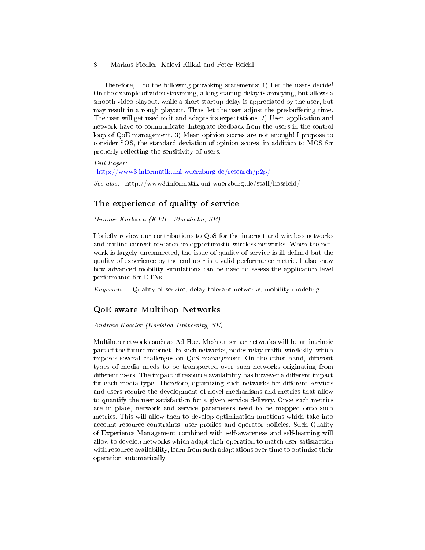Therefore, I do the following provoking statements: 1) Let the users decide! On the example of video streaming, a long startup delay is annoying, but allows a smooth video playout, while a short startup delay is appreciated by the user, but may result in a rough playout. Thus, let the user adjust the pre-buffering time. The user will get used to it and adapts its expectations. 2) User, application and network have to communicate! Integrate feedback from the users in the control loop of QoE management. 3) Mean opinion scores are not enough! I propose to consider SOS, the standard deviation of opinion scores, in addition to MOS for properly reflecting the sensitivity of users.

Full Paper: <http://www3.informatik.uni-wuerzburg.de/research/p2p/> See also: http://www3.informatik.uni-wuerzburg.de/staff/hossfeld/

# The experience of quality of service

Gunnar Karlsson (KTH - Stockholm, SE)

I briefly review our contributions to QoS for the internet and wireless networks and outline current research on opportunistic wireless networks. When the network is largely unconnected, the issue of quality of service is ill-defined but the quality of experience by the end user is a valid performance metric. I also show how advanced mobility simulations can be used to assess the application level performance for DTNs.

Keywords: Quality of service, delay tolerant networks, mobility modeling

## QoE aware Multihop Networks

#### Andreas Kassler (Karlstad University, SE)

Multihop networks such as Ad-Hoc, Mesh or sensor networks will be an intrinsic part of the future internet. In such networks, nodes relay traffic wireleslly, which imposes several challenges on QoS management. On the other hand, different types of media needs to be transported over such networks originating from different users. The impact of resource availability has however a different impact for each media type. Therefore, optimizing such networks for different services and users require the development of novel mechanisms and metrics that allow to quantify the user satisfaction for a given service delivery. Once such metrics are in place, network and service parameters need to be mapped onto such metrics. This will allow then to develop optimization functions which take into account resource constraints, user profiles and operator policies. Such Quality of Experience Management combined with self-awareness and self-learning will allow to develop networks which adapt their operation to match user satisfaction with resource availability, learn from such adaptations over time to optimize their operation automatically.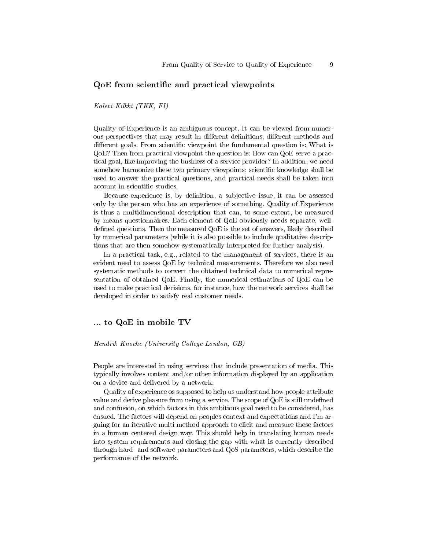## QoE from scientific and practical viewpoints

Kalevi Kilkki (TKK, FI)

Quality of Experience is an ambiguous concept. It can be viewed from numerous perspectives that may result in different definitions, different methods and different goals. From scientific viewpoint the fundamental question is: What is QoE? Then from practical viewpoint the question is: How can QoE serve a practical goal, like improving the business of a service provider? In addition, we need somehow harmonize these two primary viewpoints; scientific knowledge shall be used to answer the practical questions, and practical needs shall be taken into account in scientific studies.

Because experience is, by denition, a subjective issue, it can be assessed only by the person who has an experience of something. Quality of Experience is thus a multidimensional description that can, to some extent, be measured by means questionnaires. Each element of QoE obviously needs separate, welldefined questions. Then the measured  $QoE$  is the set of answers, likely described by numerical parameters (while it is also possible to include qualitative descriptions that are then somehow systematically interpreted for further analysis).

In a practical task, e.g., related to the management of services, there is an evident need to assess QoE by technical measurements. Therefore we also need systematic methods to convert the obtained technical data to numerical representation of obtained QoE. Finally, the numerical estimations of QoE can be used to make practical decisions, for instance, how the network services shall be developed in order to satisfy real customer needs.

## ... to QoE in mobile TV

Hendrik Knoche (University College London, GB)

People are interested in using services that include presentation of media. This typically involves content and/or other information displayed by an application on a device and delivered by a network.

Quality of experience os supposed to help us understand how people attribute value and derive pleasure from using a service. The scope of QoE is still undefined and confusion, on which factors in this ambitious goal need to be considered, has ensued. The factors will depend on peoples context and expectations and I'm arguing for an iterative multi method approach to elicit and measure these factors in a human centered design way. This should help in translating human needs into system requirements and closing the gap with what is currently described through hard- and software parameters and QoS parameters, which describe the performance of the network.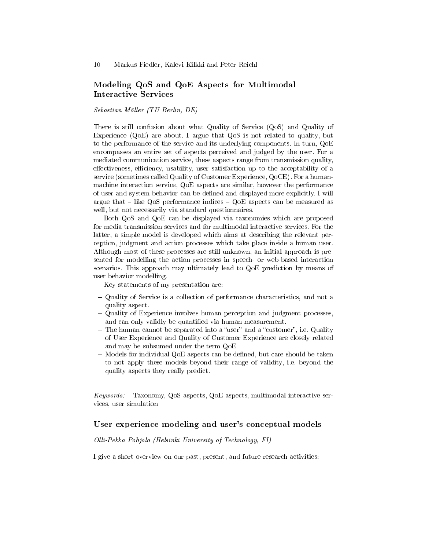# Modeling QoS and QoE Aspects for Multimodal Interactive Services

Sebastian Möller (TU Berlin, DE)

There is still confusion about what Quality of Service (QoS) and Quality of Experience (QoE) are about. I argue that QoS is not related to quality, but to the performance of the service and its underlying components. In turn, QoE encompasses an entire set of aspects perceived and judged by the user. For a mediated communication service, these aspects range from transmission quality, effectiveness, efficiency, usability, user satisfaction up to the acceptability of a service (sometimes called Quality of Customer Experience, QoCE). For a humanmachine interaction service, QoE aspects are similar, however the performance of user and system behavior can be dened and displayed more explicitly. I will argue that  $-$  like QoS performance indices  $-$  QoE aspects can be measured as well, but not necessarily via standard questionnaires.

Both QoS and QoE can be displayed via taxonomies which are proposed for media transmission services and for multimodal interactive services. For the latter, a simple model is developed which aims at describing the relevant perception, judgment and action processes which take place inside a human user. Although most of these processes are still unknown, an initial approach is presented for modelling the action processes in speech- or web-based interaction senced for modering the action processes in speech- or web-based interaction<br>scenarios. This approach may ultimately lead to QoE prediction by means of user behavior modelling.

Key statements of my presentation are:

- Quality of Service is a collection of performance characteristics, and not a quality aspect.
- Quality of Experience involves human perception and judgment processes, and can only validly be quantified via human measurement.
- $-$  The human cannot be separated into a "user" and a "customer", i.e. Quality of User Experience and Quality of Customer Experience are closely related and may be subsumed under the term QoE
- $-$  Models for individual  $QoE$  aspects can be defined, but care should be taken to not apply these models beyond their range of validity, i.e. beyond the quality aspects they really predict.

Keywords: Taxonomy, QoS aspects, QoE aspects, multimodal interactive services, user simulation

## User experience modeling and user's conceptual models

Olli-Pekka Pohjola (Helsinki University of Technology, FI)

I give a short overview on our past, present, and future research activities: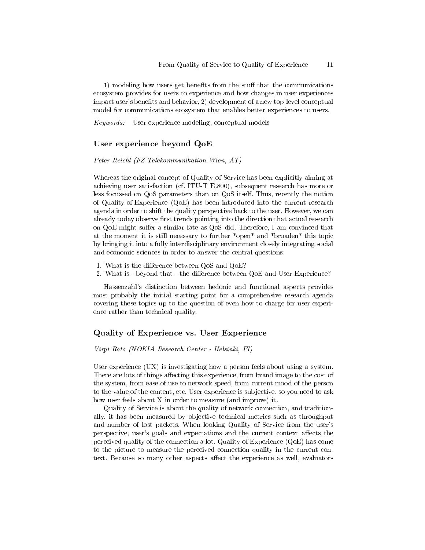1) modeling how users get benefits from the stuff that the communications ecosystem provides for users to experience and how changes in user experiences impact user's benefits and behavior, 2) development of a new top-level conceptual model for communications ecosystem that enables better experiences to users.

Keywords: User experience modeling, conceptual models

## User experience beyond QoE

Peter Reichl (FZ Telekommunikation Wien, AT)

Whereas the original concept of Quality-of-Service has been explicitly aiming at achieving user satisfaction (cf. ITU-T E.800), subsequent research has more or less focussed on QoS parameters than on QoS itself. Thus, recently the notion of Quality-of-Experience (QoE) has been introduced into the current research agenda in order to shift the quality perspective back to the user. However, we can already today observe first trends pointing into the direction that actual research on  $QoE$  might suffer a similar fate as  $QoS$  did. Therefore, I am convinced that at the moment it is still necessary to further \*open\* and \*broaden\* this topic by bringing it into a fully interdisciplinary environment closely integrating social and economic sciences in order to answer the central questions:

- 1. What is the difference between QoS and QoE?
- 2. What is beyond that the difference between QoE and User Experience?

Hassenzahl's distinction between hedonic and functional aspects provides most probably the initial starting point for a comprehensive research agenda covering these topics up to the question of even how to charge for user experience rather than technical quality.

#### Quality of Experience vs. User Experience

Virpi Roto (NOKIA Research Center - Helsinki, FI)

User experience (UX) is investigating how a person feels about using a system. There are lots of things affecting this experience, from brand image to the cost of the system, from ease of use to network speed, from current mood of the person to the value of the content, etc. User experience is subjective, so you need to ask how user feels about X in order to measure (and improve) it.

Quality of Service is about the quality of network connection, and traditionally, it has been measured by objective technical metrics such as throughput and number of lost packets. When looking Quality of Service from the user's perspective, user's goals and expectations and the current context affects the perceived quality of the connection a lot. Quality of Experience  $(QoE)$  has come to the picture to measure the perceived connection quality in the current context. Because so many other aspects affect the experience as well, evaluators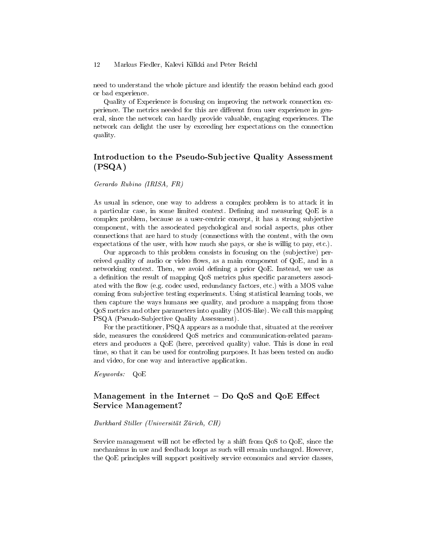need to understand the whole picture and identify the reason behind each good or bad experience.

Quality of Experience is focusing on improving the network connection experience. The metrics needed for this are different from user experience in general, since the network can hardly provide valuable, engaging experiences. The network can delight the user by exceeding her expectations on the connection quality.

# Introduction to the Pseudo-Subjective Quality Assessment (PSQA)

Gerardo Rubino (IRISA, FR)

As usual in science, one way to address a complex problem is to attack it in a particular case, in some limited context. Defining and measuring  $QoE$  is a complex problem, because as a user-centric concept, it has a strong subjective component, with the associeated psychological and social aspects, plus other connections that are hard to study (connections with the content, with the own expectations of the user, with how much she pays, or she is willig to pay, etc.).

Our approach to this problem consists in focusing on the (subjective) perceived quality of audio or video flows, as a main component of  $QoE$ , and in a networking context. Then, we avoid defining a prior QoE. Instead, we use as a definition the result of mapping QoS metrics plus specific parameters associated with the flow (e.g. codec used, redundancy factors, etc.) with a MOS value coming from subjective testing experiments. Using statistical learning tools, we then capture the ways humans see quality, and produce a mapping from those QoS metrics and other parameters into quality (MOS-like). We call this mapping PSQA (Pseudo-Subjective Quality Assessment).

For the practitioner, PSQA appears as a module that, situated at the receiver side, measures the considered QoS metrics and communication-related parameters and produces a QoE (here, perceived quality) value. This is done in real time, so that it can be used for controling purposes. It has been tested on audio and video, for one way and interactive application.

Keywords: QoE

# Management in the Internet  $-$  Do QoS and QoE Effect Service Management?

#### Burkhard Stiller (Universität Zürich, CH)

Service management will not be effected by a shift from  $Q_0S$  to  $Q_0E$ , since the mechanisms in use and feedback loops as such will remain unchanged. However, the QoE principles will support positively service economics and service classes,